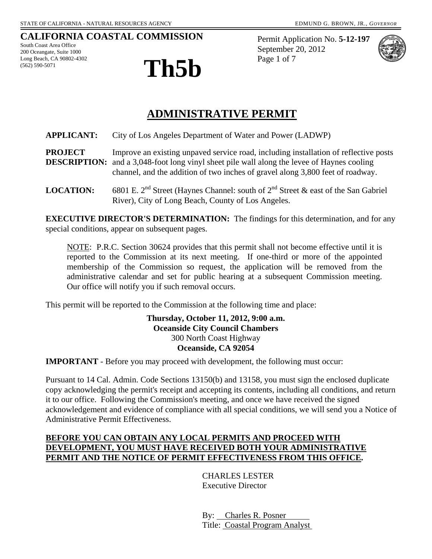## **CALIFORNIA COASTAL COMMISSION**

South Coast Area Office 200 Oceangate, Suite 1000 Long Beach, CA 90802-4302 (562) 590-5071



Permit Application No. **5-12-197** September 20, 2012



## **ADMINISTRATIVE PERMIT**

**APPLICANT:** City of Los Angeles Department of Water and Power (LADWP)

**PROJECT** Improve an existing unpaved service road, including installation of reflective posts **DESCRIPTION:** and a 3,048-foot long vinyl sheet pile wall along the levee of Haynes cooling channel, and the addition of two inches of gravel along 3,800 feet of roadway.

**LOCATION:** 6801 E. 2<sup>nd</sup> Street (Haynes Channel: south of 2<sup>nd</sup> Street & east of the San Gabriel River), City of Long Beach, County of Los Angeles.

**EXECUTIVE DIRECTOR'S DETERMINATION:** The findings for this determination, and for any special conditions, appear on subsequent pages.

NOTE: P.R.C. Section 30624 provides that this permit shall not become effective until it is reported to the Commission at its next meeting. If one-third or more of the appointed membership of the Commission so request, the application will be removed from the administrative calendar and set for public hearing at a subsequent Commission meeting. Our office will notify you if such removal occurs.

This permit will be reported to the Commission at the following time and place:

#### **Thursday, October 11, 2012, 9:00 a.m. Oceanside City Council Chambers** 300 North Coast Highway **Oceanside, CA 92054**

**IMPORTANT** - Before you may proceed with development, the following must occur:

Pursuant to 14 Cal. Admin. Code Sections 13150(b) and 13158, you must sign the enclosed duplicate copy acknowledging the permit's receipt and accepting its contents, including all conditions, and return it to our office. Following the Commission's meeting, and once we have received the signed acknowledgement and evidence of compliance with all special conditions, we will send you a Notice of Administrative Permit Effectiveness.

#### **BEFORE YOU CAN OBTAIN ANY LOCAL PERMITS AND PROCEED WITH DEVELOPMENT, YOU MUST HAVE RECEIVED BOTH YOUR ADMINISTRATIVE PERMIT AND THE NOTICE OF PERMIT EFFECTIVENESS FROM THIS OFFICE.**

 CHARLES LESTER Executive Director

 By: Charles R. Posner Title: Coastal Program Analyst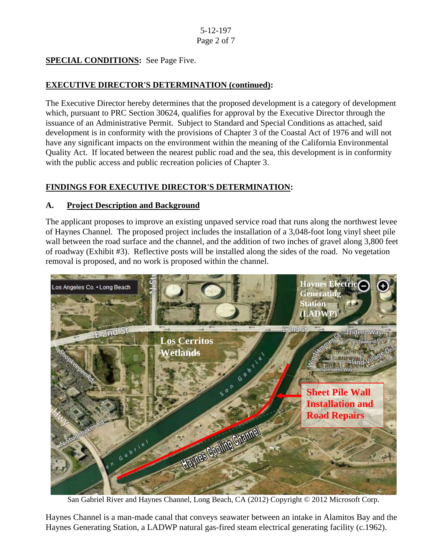## **SPECIAL CONDITIONS:** See Page Five.

## **EXECUTIVE DIRECTOR'S DETERMINATION (continued):**

The Executive Director hereby determines that the proposed development is a category of development which, pursuant to PRC Section 30624, qualifies for approval by the Executive Director through the issuance of an Administrative Permit. Subject to Standard and Special Conditions as attached, said development is in conformity with the provisions of Chapter 3 of the Coastal Act of 1976 and will not have any significant impacts on the environment within the meaning of the California Environmental Quality Act. If located between the nearest public road and the sea, this development is in conformity with the public access and public recreation policies of Chapter 3.

## **FINDINGS FOR EXECUTIVE DIRECTOR'S DETERMINATION:**

#### **A. Project Description and Background**

The applicant proposes to improve an existing unpaved service road that runs along the northwest levee of Haynes Channel. The proposed project includes the installation of a 3,048-foot long vinyl sheet pile wall between the road surface and the channel, and the addition of two inches of gravel along 3,800 feet of roadway (Exhibit #3). Reflective posts will be installed along the sides of the road. No vegetation removal is proposed, and no work is proposed within the channel.



San Gabriel River and Haynes Channel, Long Beach, CA (2012) Copyright © 2012 Microsoft Corp.

Haynes Channel is a man-made canal that conveys seawater between an intake in Alamitos Bay and the Haynes Generating Station, a LADWP natural gas-fired steam electrical generating facility (c.1962).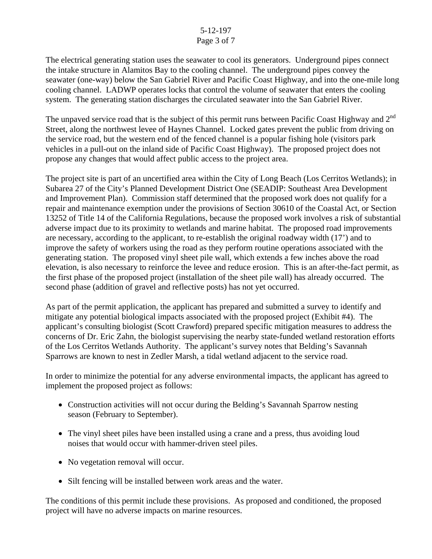#### 5-12-197 Page 3 of 7

The electrical generating station uses the seawater to cool its generators. Underground pipes connect the intake structure in Alamitos Bay to the cooling channel. The underground pipes convey the seawater (one-way) below the San Gabriel River and Pacific Coast Highway, and into the one-mile long cooling channel. LADWP operates locks that control the volume of seawater that enters the cooling system. The generating station discharges the circulated seawater into the San Gabriel River.

The unpaved service road that is the subject of this permit runs between Pacific Coast Highway and 2<sup>nd</sup> Street, along the northwest levee of Haynes Channel. Locked gates prevent the public from driving on the service road, but the western end of the fenced channel is a popular fishing hole (visitors park vehicles in a pull-out on the inland side of Pacific Coast Highway). The proposed project does not propose any changes that would affect public access to the project area.

The project site is part of an uncertified area within the City of Long Beach (Los Cerritos Wetlands); in Subarea 27 of the City's Planned Development District One (SEADIP: Southeast Area Development and Improvement Plan). Commission staff determined that the proposed work does not qualify for a repair and maintenance exemption under the provisions of Section 30610 of the Coastal Act, or Section 13252 of Title 14 of the California Regulations, because the proposed work involves a risk of substantial adverse impact due to its proximity to wetlands and marine habitat. The proposed road improvements are necessary, according to the applicant, to re-establish the original roadway width (17') and to improve the safety of workers using the road as they perform routine operations associated with the generating station. The proposed vinyl sheet pile wall, which extends a few inches above the road elevation, is also necessary to reinforce the levee and reduce erosion. This is an after-the-fact permit, as the first phase of the proposed project (installation of the sheet pile wall) has already occurred. The second phase (addition of gravel and reflective posts) has not yet occurred.

As part of the permit application, the applicant has prepared and submitted a survey to identify and mitigate any potential biological impacts associated with the proposed project (Exhibit #4). The applicant's consulting biologist (Scott Crawford) prepared specific mitigation measures to address the concerns of Dr. Eric Zahn, the biologist supervising the nearby state-funded wetland restoration efforts of the Los Cerritos Wetlands Authority. The applicant's survey notes that Belding's Savannah Sparrows are known to nest in Zedler Marsh, a tidal wetland adjacent to the service road.

In order to minimize the potential for any adverse environmental impacts, the applicant has agreed to implement the proposed project as follows:

- Construction activities will not occur during the Belding's Savannah Sparrow nesting season (February to September).
- The vinyl sheet piles have been installed using a crane and a press, thus avoiding loud noises that would occur with hammer-driven steel piles.
- No vegetation removal will occur.
- Silt fencing will be installed between work areas and the water.

The conditions of this permit include these provisions. As proposed and conditioned, the proposed project will have no adverse impacts on marine resources.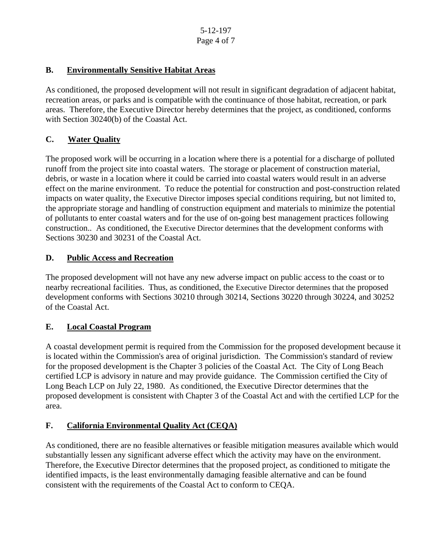#### **B. Environmentally Sensitive Habitat Areas**

As conditioned, the proposed development will not result in significant degradation of adjacent habitat, recreation areas, or parks and is compatible with the continuance of those habitat, recreation, or park areas. Therefore, the Executive Director hereby determines that the project, as conditioned, conforms with Section 30240(b) of the Coastal Act.

#### **C. Water Quality**

The proposed work will be occurring in a location where there is a potential for a discharge of polluted runoff from the project site into coastal waters. The storage or placement of construction material, debris, or waste in a location where it could be carried into coastal waters would result in an adverse effect on the marine environment. To reduce the potential for construction and post-construction related impacts on water quality, the Executive Director imposes special conditions requiring, but not limited to, the appropriate storage and handling of construction equipment and materials to minimize the potential of pollutants to enter coastal waters and for the use of on-going best management practices following construction.. As conditioned, the Executive Director determines that the development conforms with Sections 30230 and 30231 of the Coastal Act.

## **D. Public Access and Recreation**

The proposed development will not have any new adverse impact on public access to the coast or to nearby recreational facilities. Thus, as conditioned, the Executive Director determines that the proposed development conforms with Sections 30210 through 30214, Sections 30220 through 30224, and 30252 of the Coastal Act.

#### **E. Local Coastal Program**

A coastal development permit is required from the Commission for the proposed development because it is located within the Commission's area of original jurisdiction. The Commission's standard of review for the proposed development is the Chapter 3 policies of the Coastal Act. The City of Long Beach certified LCP is advisory in nature and may provide guidance. The Commission certified the City of Long Beach LCP on July 22, 1980. As conditioned, the Executive Director determines that the proposed development is consistent with Chapter 3 of the Coastal Act and with the certified LCP for the area.

## **F. California Environmental Quality Act (CEQA)**

As conditioned, there are no feasible alternatives or feasible mitigation measures available which would substantially lessen any significant adverse effect which the activity may have on the environment. Therefore, the Executive Director determines that the proposed project, as conditioned to mitigate the identified impacts, is the least environmentally damaging feasible alternative and can be found consistent with the requirements of the Coastal Act to conform to CEQA.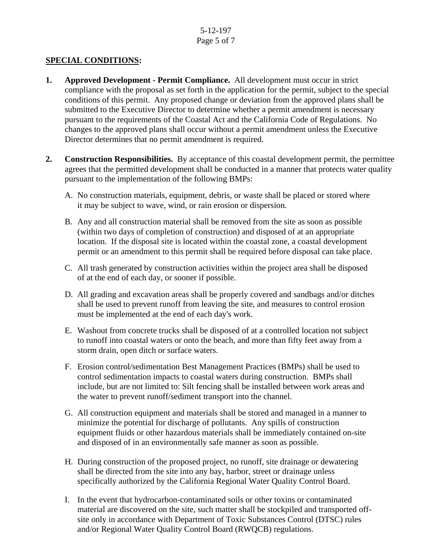#### 5-12-197 Page 5 of 7

#### **SPECIAL CONDITIONS:**

- **1. Approved Development Permit Compliance.** All development must occur in strict compliance with the proposal as set forth in the application for the permit, subject to the special conditions of this permit. Any proposed change or deviation from the approved plans shall be submitted to the Executive Director to determine whether a permit amendment is necessary pursuant to the requirements of the Coastal Act and the California Code of Regulations. No changes to the approved plans shall occur without a permit amendment unless the Executive Director determines that no permit amendment is required.
- **2. Construction Responsibilities.** By acceptance of this coastal development permit, the permittee agrees that the permitted development shall be conducted in a manner that protects water quality pursuant to the implementation of the following BMPs:
	- A. No construction materials, equipment, debris, or waste shall be placed or stored where it may be subject to wave, wind, or rain erosion or dispersion.
	- B. Any and all construction material shall be removed from the site as soon as possible (within two days of completion of construction) and disposed of at an appropriate location. If the disposal site is located within the coastal zone, a coastal development permit or an amendment to this permit shall be required before disposal can take place.
	- C. All trash generated by construction activities within the project area shall be disposed of at the end of each day, or sooner if possible.
	- D. All grading and excavation areas shall be properly covered and sandbags and/or ditches shall be used to prevent runoff from leaving the site, and measures to control erosion must be implemented at the end of each day's work.
	- E. Washout from concrete trucks shall be disposed of at a controlled location not subject to runoff into coastal waters or onto the beach, and more than fifty feet away from a storm drain, open ditch or surface waters.
	- F. Erosion control/sedimentation Best Management Practices (BMPs) shall be used to control sedimentation impacts to coastal waters during construction. BMPs shall include, but are not limited to: Silt fencing shall be installed between work areas and the water to prevent runoff/sediment transport into the channel.
	- G. All construction equipment and materials shall be stored and managed in a manner to minimize the potential for discharge of pollutants. Any spills of construction equipment fluids or other hazardous materials shall be immediately contained on-site and disposed of in an environmentally safe manner as soon as possible.
	- H. During construction of the proposed project, no runoff, site drainage or dewatering shall be directed from the site into any bay, harbor, street or drainage unless specifically authorized by the California Regional Water Quality Control Board.
	- I. In the event that hydrocarbon-contaminated soils or other toxins or contaminated material are discovered on the site, such matter shall be stockpiled and transported offsite only in accordance with Department of Toxic Substances Control (DTSC) rules and/or Regional Water Quality Control Board (RWQCB) regulations.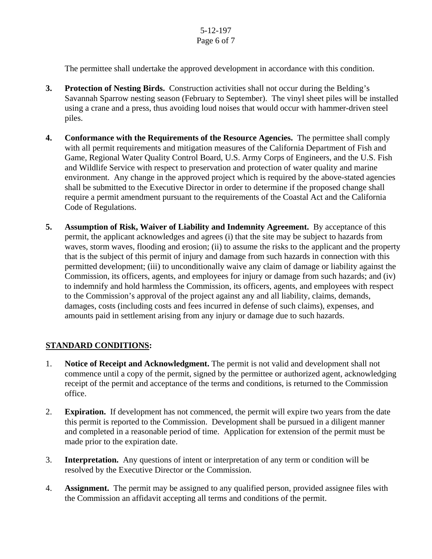The permittee shall undertake the approved development in accordance with this condition.

- **3. Protection of Nesting Birds.** Construction activities shall not occur during the Belding's Savannah Sparrow nesting season (February to September). The vinyl sheet piles will be installed using a crane and a press, thus avoiding loud noises that would occur with hammer-driven steel piles.
- **4. Conformance with the Requirements of the Resource Agencies.** The permittee shall comply with all permit requirements and mitigation measures of the California Department of Fish and Game, Regional Water Quality Control Board, U.S. Army Corps of Engineers, and the U.S. Fish and Wildlife Service with respect to preservation and protection of water quality and marine environment. Any change in the approved project which is required by the above-stated agencies shall be submitted to the Executive Director in order to determine if the proposed change shall require a permit amendment pursuant to the requirements of the Coastal Act and the California Code of Regulations.
- **5. Assumption of Risk, Waiver of Liability and Indemnity Agreement.** By acceptance of this permit, the applicant acknowledges and agrees (i) that the site may be subject to hazards from waves, storm waves, flooding and erosion; (ii) to assume the risks to the applicant and the property that is the subject of this permit of injury and damage from such hazards in connection with this permitted development; (iii) to unconditionally waive any claim of damage or liability against the Commission, its officers, agents, and employees for injury or damage from such hazards; and (iv) to indemnify and hold harmless the Commission, its officers, agents, and employees with respect to the Commission's approval of the project against any and all liability, claims, demands, damages, costs (including costs and fees incurred in defense of such claims), expenses, and amounts paid in settlement arising from any injury or damage due to such hazards.

## **STANDARD CONDITIONS:**

- 1. **Notice of Receipt and Acknowledgment.** The permit is not valid and development shall not commence until a copy of the permit, signed by the permittee or authorized agent, acknowledging receipt of the permit and acceptance of the terms and conditions, is returned to the Commission office.
- 2. **Expiration.** If development has not commenced, the permit will expire two years from the date this permit is reported to the Commission. Development shall be pursued in a diligent manner and completed in a reasonable period of time. Application for extension of the permit must be made prior to the expiration date.
- 3. **Interpretation.** Any questions of intent or interpretation of any term or condition will be resolved by the Executive Director or the Commission.
- 4. **Assignment.** The permit may be assigned to any qualified person, provided assignee files with the Commission an affidavit accepting all terms and conditions of the permit.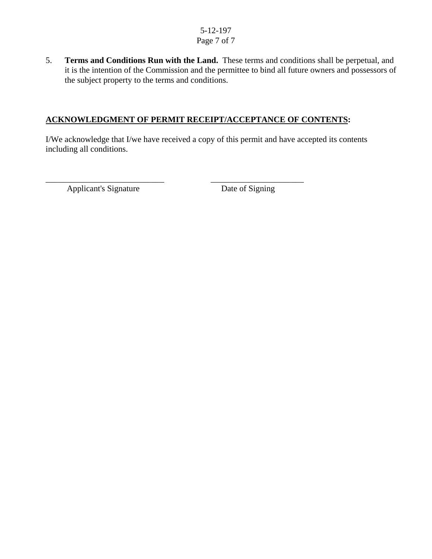#### 5-12-197 Page 7 of 7

5. **Terms and Conditions Run with the Land.** These terms and conditions shall be perpetual, and it is the intention of the Commission and the permittee to bind all future owners and possessors of the subject property to the terms and conditions.

#### **ACKNOWLEDGMENT OF PERMIT RECEIPT/ACCEPTANCE OF CONTENTS:**

\_\_\_\_\_\_\_\_\_\_\_\_\_\_\_\_\_\_\_\_\_\_\_\_\_\_\_\_ \_\_\_\_\_\_\_\_\_\_\_\_\_\_\_\_\_\_\_\_\_\_

I/We acknowledge that I/we have received a copy of this permit and have accepted its contents including all conditions.

Applicant's Signature Date of Signing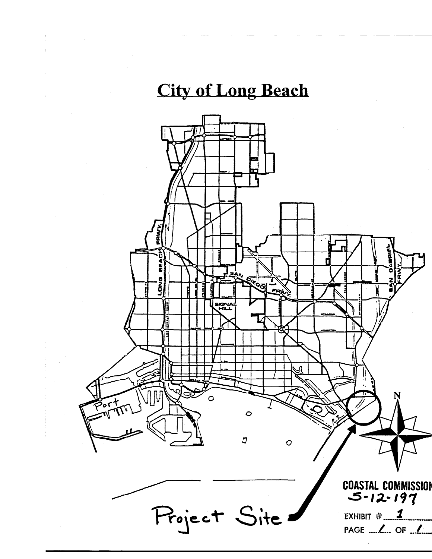# **City of Long Beach**

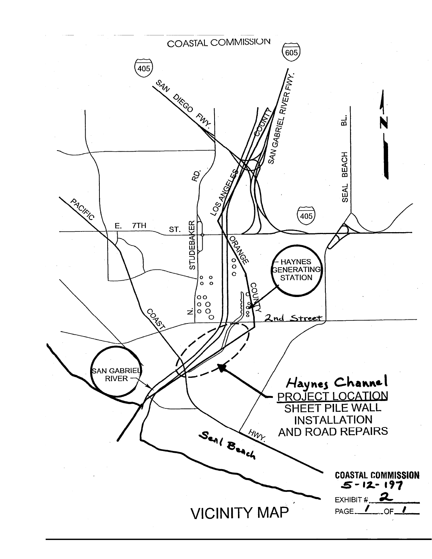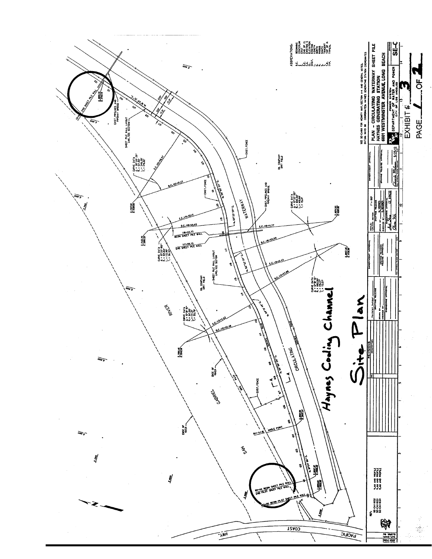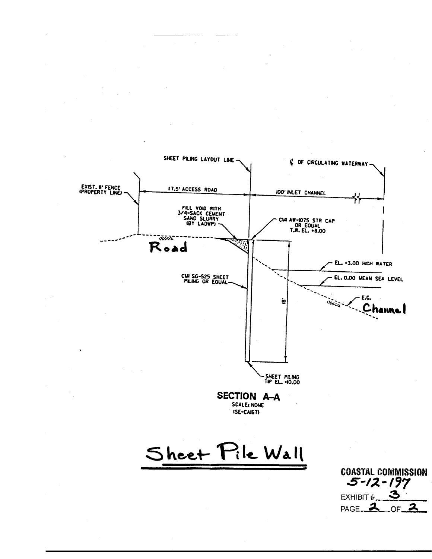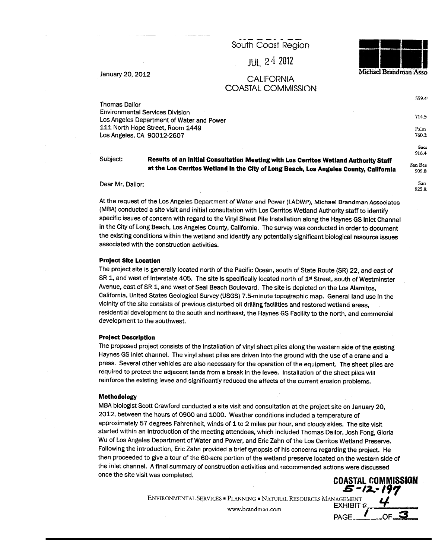South Coast Region

**JUL 24 2012** 

January 20, 2012

#### **CALIFORNIA** COASTAL COMMISSION

Michael Brandman Asso

5-12-197

**EXHIBIT #** 

PAGE.

559.4

714.5

Palm

760.3. Sacr 916.4

San Ben

909.8 San

925.8:

**Thomas Dailor Environmental Services Division** Los Angeles Department of Water and Power 111 North Hope Street, Room 1449 Los Angeles, CA 90012-2607

Subject:

Results of an Initial Consultation Meeting with Los Cerritos Wetland Authority Staff at the Los Cerritos Wetland in the City of Long Beach, Los Angeles County, California

Dear Mr. Dailor:

At the request of the Los Angeles Department of Water and Power (LADWP), Michael Brandman Associates (MBA) conducted a site visit and initial consultation with Los Cerritos Wetland Authority staff to identify specific issues of concern with regard to the Vinyl Sheet Pile Installation along the Haynes GS Inlet Channel in the City of Long Beach, Los Angeles County, California. The survey was conducted in order to document the existing conditions within the wetland and identify any potentially significant biological resource issues associated with the construction activities.

#### **Project Site Location**

The project site is generally located north of the Pacific Ocean, south of State Route (SR) 22, and east of SR 1, and west of Interstate 405. The site is specifically located north of 1<sup>st</sup> Street, south of Westminster Avenue, east of SR 1, and west of Seal Beach Boulevard. The site is depicted on the Los Alamitos, California, United States Geological Survey (USGS) 7.5-minute topographic map. General land use in the vicinity of the site consists of previous disturbed oil drilling facilities and restored wetland areas, residential development to the south and northeast, the Haynes GS Facility to the north, and commercial development to the southwest.

#### **Project Description**

The proposed project consists of the installation of vinyl sheet piles along the western side of the existing Haynes GS inlet channel. The vinyl sheet piles are driven into the ground with the use of a crane and a press. Several other vehicles are also necessary for the operation of the equipment. The sheet piles are required to protect the adjacent lands from a break in the levee. Installation of the sheet piles will reinforce the existing levee and significantly reduced the affects of the current erosion problems.

#### Methodology

MBA biologist Scott Crawford conducted a site visit and consultation at the project site on January 20, 2012, between the hours of 0900 and 1000. Weather conditions included a temperature of approximately 57 degrees Fahrenheit, winds of 1 to 2 miles per hour, and cloudy skies. The site visit started within an introduction of the meeting attendees, which included Thomas Dailor, Josh Fong, Gloria Wu of Los Angeles Department of Water and Power, and Eric Zahn of the Los Cerritos Wetland Preserve. Following the introduction, Eric Zahn provided a brief synopsis of his concerns regarding the project. He then proceeded to give a tour of the 60-acre portion of the wetland preserve located on the western side of the inlet channel. A final summary of construction activities and recommended actions were discussed once the site visit was completed. **COASTAL COMMISSION** 

ENVIRONMENTAL SERVICES · PLANNING · NATURAL RESOURCES MANAGEMENT

www.brandman.com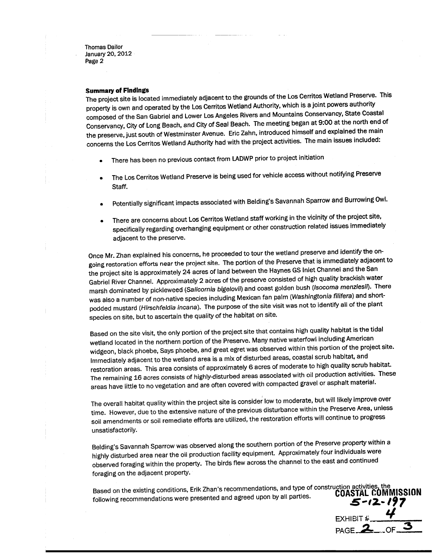#### **Summary of Findings**

The project site is located immediately adjacent to the grounds of the Los Cerritos Wetland Preserve. This property is own and operated by the Los Cerritos Wetland Authority, which is a joint powers authority composed of the San Gabriel and Lower Los Angeles Rivers and Mountains Conservancy, State Coastal Conservancy, City of Long Beach, and City of Seal Beach. The meeting began at 9:00 at the north end of the preserve, just south of Westminster Avenue. Eric Zahn, introduced himself and explained the main concerns the Los Cerritos Wetland Authority had with the project activities. The main issues included:

- There has been no previous contact from LADWP prior to project initiation
- The Los Cerritos Wetland Preserve is being used for vehicle access without notifying Preserve Staff.
- Potentially significant impacts associated with Belding's Savannah Sparrow and Burrowing Owl.
- There are concerns about Los Cerritos Wetland staff working in the vicinity of the project site,  $\bullet$ specifically regarding overhanging equipment or other construction related issues immediately adjacent to the preserve.

Once Mr. Zhan explained his concerns, he proceeded to tour the wetland preserve and identify the ongoing restoration efforts near the project site. The portion of the Preserve that is immediately adjacent to the project site is approximately 24 acres of land between the Haynes GS Inlet Channel and the San Gabriel River Channel. Approximately 2 acres of the preserve consisted of high quality brackish water marsh dominated by pickleweed (Salicornia bigelovii) and coast golden bush (Isocoma menziesii). There was also a number of non-native species including Mexican fan palm (Washingtonia filifera) and shortpodded mustard (Hirschfeldia incana). The purpose of the site visit was not to identify all of the plant species on site, but to ascertain the quality of the habitat on site.

Based on the site visit, the only portion of the project site that contains high quality habitat is the tidal wetland located in the northern portion of the Preserve. Many native waterfowl including American widgeon, black phoebe, Says phoebe, and great egret was observed within this portion of the project site. Immediately adjacent to the wetland area is a mix of disturbed areas, coastal scrub habitat, and restoration areas. This area consists of approximately 6 acres of moderate to high quality scrub habitat. The remaining 16 acres consists of highly-disturbed areas associated with oil production activities. These areas have little to no vegetation and are often covered with compacted gravel or asphalt material.

The overall habitat quality within the project site is consider low to moderate, but will likely improve over time. However, due to the extensive nature of the previous disturbance within the Preserve Area, unless soil amendments or soil remediate efforts are utilized, the restoration efforts will continue to progress unsatisfactorily.

Belding's Savannah Sparrow was observed along the southern portion of the Preserve property within a highly disturbed area near the oil production facility equipment. Approximately four individuals were observed foraging within the property. The birds flew across the channel to the east and continued foraging on the adjacent property.

Based on the existing conditions, Erik Zhan's recommendations, and type of construction activities, the **COASTAL COMMISSION** following recommendations were presented and agreed upon by all parties. 5-12-197

EXHIBIT  $\frac{u}{v}$ <br>PAGE 2 OF